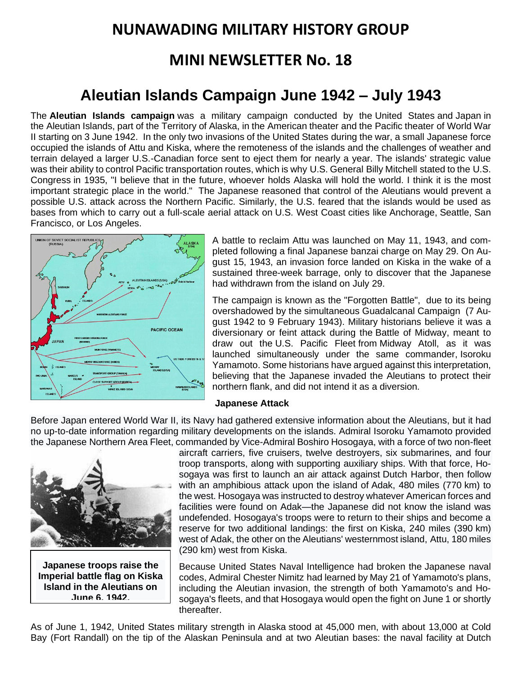# **NUNAWADING MILITARY HISTORY GROUP**

# **MINI NEWSLETTER No. 18**

# **Aleutian Islands Campaign June 1942 – July 1943**

The **Aleutian Islands campaign** was a military campaign conducted by the [United States](https://en.wikipedia.org/wiki/United_States) and [Japan](https://en.wikipedia.org/wiki/Japan) in the [Aleutian Islands,](https://en.wikipedia.org/wiki/Aleutian_Islands) part of the [Territory of Alaska,](https://en.wikipedia.org/wiki/Territory_of_Alaska) in the [American theater](https://en.wikipedia.org/wiki/American_Theater_(World_War_II)) and the [Pacific theater](https://en.wikipedia.org/wiki/Pacific_War) of [World War](https://en.wikipedia.org/wiki/World_War_II)  [II](https://en.wikipedia.org/wiki/World_War_II) starting on 3 June 1942. In the only two [invasions of the United States](https://en.wikipedia.org/wiki/Invasion_of_the_United_States) during the war, a small [Japanese](https://en.wikipedia.org/wiki/Empire_of_Japan) force occupied the islands of [Attu](https://en.wikipedia.org/wiki/Attu_Island) and [Kiska,](https://en.wikipedia.org/wiki/Kiska) where the remoteness of the islands and the challenges of weather and terrain delayed a larger U.S.-Canadian force sent to eject them for nearly a year. The islands' strategic value was their ability to control Pacific transportation routes, which is why [U.S. General](https://en.wikipedia.org/wiki/U.S._General) [Billy Mitchell](https://en.wikipedia.org/wiki/Billy_Mitchell) stated to the [U.S.](https://en.wikipedia.org/wiki/U.S._Congress)  [Congress](https://en.wikipedia.org/wiki/U.S._Congress) in 1935, "I believe that in the future, whoever holds Alaska will hold the world. I think it is the most important strategic place in the world." The Japanese reasoned that control of the Aleutians would prevent a possible U.S. attack across the Northern Pacific. Similarly, the U.S. feared that the islands would be used as bases from which to carry out a full-scale aerial attack on [U.S. West Coast](https://en.wikipedia.org/wiki/West_Coast_of_the_United_States) cities like [Anchorage,](https://en.wikipedia.org/wiki/Anchorage,_Alaska) [Seattle,](https://en.wikipedia.org/wiki/Seattle) [San](https://en.wikipedia.org/wiki/San_Francisco)  [Francisco,](https://en.wikipedia.org/wiki/San_Francisco) or [Los Angeles.](https://en.wikipedia.org/wiki/Los_Angeles)



A battle to reclaim Attu was launched on May 11, 1943, and completed following a final Japanese [banzai charge](https://en.wikipedia.org/wiki/Banzai_charge) on May 29. On August 15, 1943, an invasion force landed on Kiska in the wake of a sustained three-week barrage, only to discover that the Japanese had withdrawn from the island on July 29.

The campaign is known as the "Forgotten Battle", due to its being overshadowed by the simultaneous [Guadalcanal Campaign](https://en.wikipedia.org/wiki/Guadalcanal_Campaign) (7 August 1942 to 9 February 1943). Military historians believe it was a diversionary or feint attack during the [Battle of Midway,](https://en.wikipedia.org/wiki/Battle_of_Midway) meant to draw out the [U.S. Pacific Fleet](https://en.wikipedia.org/wiki/United_States_Pacific_Fleet) from [Midway Atoll,](https://en.wikipedia.org/wiki/Midway_Atoll) as it was launched simultaneously under the same commander, [Isoroku](https://en.wikipedia.org/wiki/Isoroku_Yamamoto)  [Yamamoto.](https://en.wikipedia.org/wiki/Isoroku_Yamamoto) Some historians have argued against this interpretation, believing that the Japanese invaded the Aleutians to protect their northern flank, and did not intend it as a diversion.

#### **Japanese Attack**

Before [Japan](https://en.wikipedia.org/wiki/Japan) entered [World War II,](https://en.wikipedia.org/wiki/World_War_II) its [Navy](https://en.wikipedia.org/wiki/Imperial_Japanese_Navy) had gathered extensive information about the [Aleutians,](https://en.wikipedia.org/wiki/Aleutians) but it had no up-to-date information regarding military developments on the islands. Admiral [Isoroku Yamamoto](https://en.wikipedia.org/wiki/Isoroku_Yamamoto) provided the Japanese [Northern Area Fleet,](https://en.wikipedia.org/wiki/IJN_5th_Fleet) commanded by Vice-Admiral Boshiro Hosogaya, with a force of two non[-fleet](https://en.wikipedia.org/wiki/Fleet_carrier) 



**Japanese troops raise the Imperial battle flag on Kiska Island in the Aleutians on June 6, 1942.**

[aircraft carriers,](https://en.wikipedia.org/wiki/Fleet_carrier) five cruisers, twelve destroyers, six submarines, and four troop transports, along with supporting auxiliary ships. With that force, Hosogaya was first to launch an air attack against [Dutch Harbor,](https://en.wikipedia.org/wiki/Dutch_Harbor) then follow with an amphibious attack upon the island of [Adak,](https://en.wikipedia.org/wiki/Adak_Island) 480 miles (770 km) to the west. Hosogaya was instructed to destroy whatever American forces and facilities were found on Adak—the Japanese did not know the island was undefended. Hosogaya's troops were to return to their ships and become a reserve for two additional landings: the first on [Kiska,](https://en.wikipedia.org/wiki/Kiska) 240 miles (390 km) west of Adak, the other on the Aleutians' westernmost island, [Attu,](https://en.wikipedia.org/wiki/Attu_Island) 180 miles (290 km) west from Kiska.

Because United States Naval Intelligence had broken the [Japanese naval](https://en.wikipedia.org/wiki/Japanese_naval_codes)  [codes,](https://en.wikipedia.org/wiki/Japanese_naval_codes) Admiral [Chester Nimitz](https://en.wikipedia.org/wiki/Chester_Nimitz) had learned by May 21 of Yamamoto's plans, including the Aleutian invasion, the strength of both Yamamoto's and Hosogaya's fleets, and that Hosogaya would open the fight on June 1 or shortly thereafter.

As of June 1, 1942, United States military strength in [Alaska](https://en.wikipedia.org/wiki/Alaska) stood at 45,000 men, with about 13,000 at Cold Bay [\(Fort Randall\)](https://en.wikipedia.org/wiki/Cold_Bay_Airport) on the tip of the Alaskan Peninsula and at two Aleutian bases: the naval facility at [Dutch](https://en.wikipedia.org/wiki/Dutch_Harbor)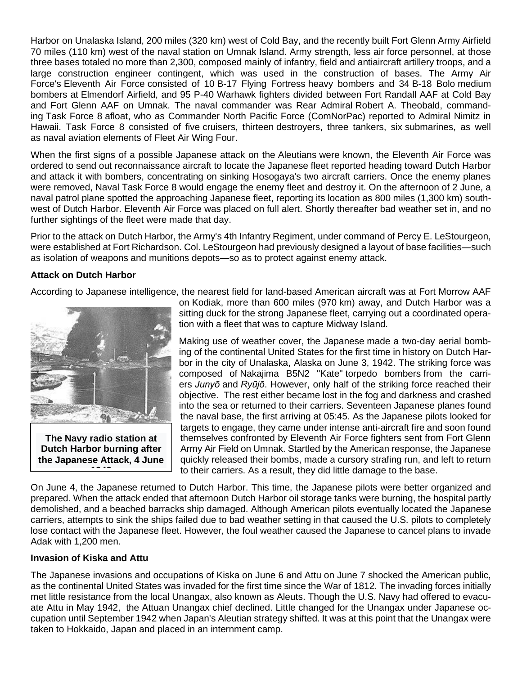[Harbor](https://en.wikipedia.org/wiki/Dutch_Harbor) on [Unalaska Island,](https://en.wikipedia.org/wiki/Unalaska_Island) 200 miles (320 km) west of [Cold Bay,](https://en.wikipedia.org/wiki/Cold_Bay) and the recently built Fort Glenn Army Airfield 70 miles (110 km) west of the naval station on [Umnak Island.](https://en.wikipedia.org/wiki/Umnak_Island) Army strength, less air force personnel, at those three bases totaled no more than 2,300, composed mainly of infantry, field and antiaircraft artillery troops, and a large construction engineer contingent, which was used in the construction of bases. The Army Air Force's [Eleventh Air Force](https://en.wikipedia.org/wiki/Eleventh_Air_Force) consisted of 10 [B-17 Flying Fortress](https://en.wikipedia.org/wiki/Boeing_B-17_Flying_Fortress) heavy bombers and 34 [B-18 Bolo](https://en.wikipedia.org/wiki/Douglas_B-18_Bolo) medium bombers at [Elmendorf Airfield,](https://en.wikipedia.org/wiki/Elmendorf_Airfield) and 95 P-40 Warhawk fighters divided between Fort Randall AAF at Cold Bay and Fort Glenn AAF on Umnak. The naval commander was Rear Admiral [Robert A. Theobald,](https://en.wikipedia.org/wiki/Robert_A._Theobald) commanding [Task Force 8](https://en.wikipedia.org/w/index.php?title=Task_Force_8&action=edit&redlink=1) afloat, who as Commander North Pacific Force (ComNorPac) reported to Admiral Nimitz in Hawaii. Task Force 8 consisted of five [cruisers,](https://en.wikipedia.org/wiki/Cruiser) thirteen [destroyers,](https://en.wikipedia.org/wiki/Destroyer) three tankers, six [submarines,](https://en.wikipedia.org/wiki/Submarine) as well as [naval aviation](https://en.wikipedia.org/wiki/Naval_aviation) elements of [Fleet Air Wing Four.](https://en.wikipedia.org/wiki/PatWing)

When the first signs of a possible Japanese attack on the [Aleutians](https://en.wikipedia.org/wiki/Aleutians) were known, the Eleventh Air Force was ordered to send out reconnaissance aircraft to locate the Japanese fleet reported heading toward Dutch Harbor and attack it with bombers, concentrating on sinking Hosogaya's two aircraft carriers. Once the enemy planes were removed, Naval Task Force 8 would engage the enemy fleet and destroy it. On the afternoon of 2 June, a naval patrol plane spotted the approaching Japanese fleet, reporting its location as 800 miles (1,300 km) southwest of Dutch Harbor. Eleventh Air Force was placed on full alert. Shortly thereafter bad weather set in, and no further sightings of the fleet were made that day.

Prior to the attack on Dutch Harbor, the Army's 4th Infantry Regiment, under command of Percy E. LeStourgeon, were established at Fort Richardson. Col. LeStourgeon had previously designed a layout of base facilities—such as isolation of weapons and munitions depots—so as to protect against enemy attack.

## **Attack on Dutch Harbor**

According to Japanese intelligence, the nearest field for land-based American aircraft was at Fort Morrow AAF



**The Navy radio station at Dutch Harbor burning after the Japanese Attack, 4 June** 

**1942**

on [Kodiak,](https://en.wikipedia.org/wiki/Kodiak_Island) more than 600 miles (970 km) away, and Dutch Harbor was a sitting duck for the strong Japanese fleet, carrying out a coordinated operation with a fleet that was to capture [Midway Island.](https://en.wikipedia.org/wiki/Midway_Island)

Making use of weather cover, the Japanese [made a two-day aerial bomb](https://en.wikipedia.org/wiki/Battle_of_Dutch_Harbor)[ing](https://en.wikipedia.org/wiki/Battle_of_Dutch_Harbor) of the continental United States for the first time in history on [Dutch Har](https://en.wikipedia.org/wiki/Dutch_Harbor_Naval_Operating_Base_and_Fort_Mears,_U.S._Army)[bor](https://en.wikipedia.org/wiki/Dutch_Harbor_Naval_Operating_Base_and_Fort_Mears,_U.S._Army) in the city of [Unalaska, Alaska](https://en.wikipedia.org/wiki/Unalaska,_Alaska) on June 3, 1942. The striking force was composed of [Nakajima B5N2](https://en.wikipedia.org/wiki/Nakajima_B5N) "Kate" [torpedo bombers](https://en.wikipedia.org/wiki/Torpedo_bomber) from the carriers *[Junyō](https://en.wikipedia.org/wiki/Japanese_aircraft_carrier_Juny%C5%8D)* and *[Ryūjō](https://en.wikipedia.org/wiki/Japanese_aircraft_carrier_Ry%C5%ABj%C5%8D)*. However, only half of the striking force reached their objective. The rest either became lost in the fog and darkness and crashed into the sea or returned to their carriers. Seventeen Japanese planes found the naval base, the first arriving at 05:45. As the Japanese pilots looked for targets to engage, they came under intense anti-aircraft fire and soon found themselves confronted by Eleventh Air Force fighters sent from Fort Glenn Army Air Field on Umnak. Startled by the American response, the Japanese quickly released their bombs, made a cursory strafing run, and left to return to their carriers. As a result, they did little damage to the base.

On June 4, the Japanese returned to Dutch Harbor. This time, the Japanese pilots were better organized and prepared. When the attack ended that afternoon Dutch Harbor oil storage tanks were burning, the hospital partly demolished, and a beached barracks ship damaged. Although American pilots eventually located the Japanese carriers, attempts to sink the ships failed due to bad weather setting in that caused the U.S. pilots to completely lose contact with the Japanese fleet. However, the foul weather caused the Japanese to cancel plans to invade Adak with 1,200 men.

## **Invasion of Kiska and Attu**

The Japanese invasions and occupations of [Kiska](https://en.wikipedia.org/wiki/Kiska) on June 6 and [Attu](https://en.wikipedia.org/wiki/Attu_Island) on June 7 shocked the American public, as the continental United States was invaded for the first time since the [War of 1812.](https://en.wikipedia.org/wiki/War_of_1812) The invading forces initially met little resistance from the local Unangax, also known as [Aleuts.](https://en.wikipedia.org/wiki/Aleut_people) Though the U.S. Navy had offered to evacuate Attu in May 1942, the Attuan Unangax chief declined. Little changed for the Unangax under Japanese occupation until September 1942 when Japan's Aleutian strategy shifted. It was at this point that the Unangax were taken to [Hokkaido,](https://en.wikipedia.org/wiki/Hokkaido) Japan and placed in an [internment](https://en.wikipedia.org/wiki/Internment) camp.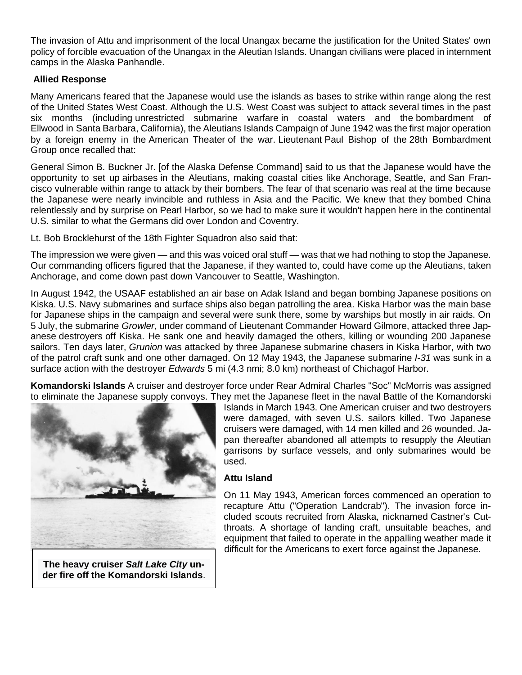The invasion of Attu and imprisonment of the local Unangax became the justification for the United States' own policy of [forcible evacuation](https://en.wikipedia.org/wiki/Aleut_Restitution_Act_of_1988) of the Unangax in the [Aleutian Islands.](https://en.wikipedia.org/wiki/Aleutian_Islands) Unangan civilians were placed in internment camps in the [Alaska Panhandle.](https://en.wikipedia.org/wiki/Alaska_Panhandle)

# **Allied Response**

Many Americans feared that the Japanese would use the islands as bases to strike within range along the rest of the [United States West Coast.](https://en.wikipedia.org/wiki/West_Coast_of_the_United_States) Although the U.S. West Coast was subject to attack several times in the past six months (including [unrestricted submarine warfare](https://en.wikipedia.org/wiki/Unrestricted_submarine_warfare) in coastal waters and the [bombardment of](https://en.wikipedia.org/wiki/Bombardment_of_Ellwood)  [Ellwood](https://en.wikipedia.org/wiki/Bombardment_of_Ellwood) in [Santa Barbara, California\)](https://en.wikipedia.org/wiki/Santa_Barbara,_California), the Aleutians Islands Campaign of June 1942 was the first major operation by a foreign enemy in the [American Theater](https://en.wikipedia.org/wiki/American_Theater_(World_War_II)) of the war. [Lieutenant](https://en.wikipedia.org/wiki/Lieutenant) Paul Bishop of the [28th Bombardment](https://en.wikipedia.org/wiki/28th_Operations_Group)  [Group](https://en.wikipedia.org/wiki/28th_Operations_Group) once recalled that:

General [Simon B. Buckner Jr.](https://en.wikipedia.org/wiki/Simon_Bolivar_Buckner_Jr.) [of the [Alaska Defense Command\]](https://en.wikipedia.org/wiki/Alaska_Defense_Command) said to us that the Japanese would have the opportunity to set up [airbases](https://en.wikipedia.org/wiki/Air_base) in the Aleutians, making coastal cities like [Anchorage,](https://en.wikipedia.org/wiki/Anchorage,_Alaska) [Seattle,](https://en.wikipedia.org/wiki/Seattle) and [San Fran](https://en.wikipedia.org/wiki/San_Francisco)[cisco](https://en.wikipedia.org/wiki/San_Francisco) vulnerable within range to attack by their bombers. The fear of that scenario was real at the time because the Japanese were nearly invincible and ruthless in Asia and the Pacific. We knew that they [bombed China](https://en.wikipedia.org/wiki/Strategic_bombing_during_World_War_II#Japanese_bombing)  [relentlessly](https://en.wikipedia.org/wiki/Strategic_bombing_during_World_War_II#Japanese_bombing) and [by surprise on Pearl Harbor,](https://en.wikipedia.org/wiki/Attack_on_Pearl_Harbor) so we had to make sure it wouldn't happen here in the continental U.S. similar to what the Germans [did over London and Coventry.](https://en.wikipedia.org/wiki/The_Blitz)

Lt. Bob Brocklehurst of the [18th Fighter Squadron](https://en.wikipedia.org/wiki/18th_Aggressor_Squadron) also said that:

The impression we were given — and this was voiced oral stuff — was that we had nothing to stop the Japanese. Our commanding officers figured that the Japanese, if they wanted to, could have come up the Aleutians, taken Anchorage, and come down past down Vancouver to Seattle, Washington.

In August 1942, the USAAF established an air base on [Adak Island](https://en.wikipedia.org/wiki/Adak_Island) and began bombing Japanese positions on Kiska. U.S. Navy [submarines](https://en.wikipedia.org/wiki/Submarine) and surface ships also began patrolling the area. [Kiska Harbor](https://en.wikipedia.org/wiki/Kiska_Harbor) was the main base for Japanese ships in the campaign and several were sunk there, some by warships but mostly in air raids. On 5 July, the [submarine](https://en.wikipedia.org/wiki/Submarine) *[Growler](https://en.wikipedia.org/wiki/USS_Growler_(SS-215))*, under command of [Lieutenant Commander](https://en.wikipedia.org/wiki/Lieutenant_Commander) [Howard Gilmore,](https://en.wikipedia.org/wiki/Howard_Gilmore) attacked three Japanese [destroyers](https://en.wikipedia.org/wiki/Destroyer) off Kiska. He sank one and heavily damaged the others, killing or wounding 200 Japanese sailors. Ten days later, *[Grunion](https://en.wikipedia.org/wiki/USS_Grunion_(SS-216))* was attacked by three Japanese [submarine chasers](https://en.wikipedia.org/wiki/Submarine_chaser) in Kiska Harbor, with two of the patrol craft sunk and one other damaged. On 12 May 1943, the Japanese submarine *[I-31](https://en.wikipedia.org/wiki/Japanese_submarine_I-31)* was sunk in a surface action with the destroyer *[Edwards](https://en.wikipedia.org/wiki/USS_Edwards_(DD-619))* 5 [mi](https://en.wikipedia.org/wiki/Mile) (4.3 [nmi;](https://en.wikipedia.org/wiki/Nautical_mile) 8.0 [km\)](https://en.wikipedia.org/wiki/Kilometre) northeast of [Chichagof Harbor.](https://en.wikipedia.org/wiki/Chichagof_Harbor)

**Komandorski Islands** A cruiser and destroyer force under [Rear Admiral](https://en.wikipedia.org/wiki/Rear_admiral_(United_States)) [Charles "Soc" McMorris](https://en.wikipedia.org/wiki/Charles_McMorris) was assigned to eliminate the Japanese supply convoys. They met the Japanese fleet in the naval [Battle of the Komandorski](https://en.wikipedia.org/wiki/Battle_of_the_Komandorski_Islands) 



**The [heavy cruiser](https://en.wikipedia.org/wiki/Heavy_cruiser)** *[Salt Lake City](https://en.wikipedia.org/wiki/USS_Salt_Lake_City_(CA-25))* **under fire off the Komandorski Islands**. [Islands](https://en.wikipedia.org/wiki/Battle_of_the_Komandorski_Islands) in March 1943. One American [cruiser](https://en.wikipedia.org/wiki/Cruiser) and two destroyers were damaged, with seven U.S. sailors killed. Two Japanese cruisers were damaged, with 14 men killed and 26 wounded. Japan thereafter abandoned all attempts to resupply the Aleutian garrisons by surface vessels, and only submarines would be used.

# **Attu Island**

On 11 May 1943, American forces commenced an operation to recapture Attu ("Operation Landcrab"). The invasion force included scouts recruited from Alaska, nicknamed [Castner's Cut](https://en.wikipedia.org/wiki/Castner%27s_Cutthroats)[throats.](https://en.wikipedia.org/wiki/Castner%27s_Cutthroats) A shortage of landing craft, unsuitable beaches, and equipment that failed to operate in the appalling weather made it difficult for the Americans to exert force against the Japanese.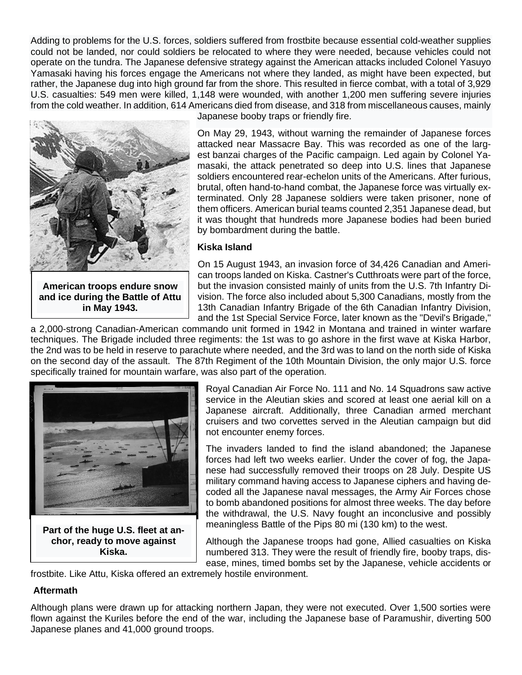Adding to problems for the U.S. forces, soldiers suffered from [frostbite](https://en.wikipedia.org/wiki/Frostbite) because essential cold-weather supplies could not be landed, nor could soldiers be relocated to where they were needed, because vehicles could not operate on the [tundra.](https://en.wikipedia.org/wiki/Tundra) The Japanese defensive strategy against the American attacks included Colonel [Yasuyo](https://en.wikipedia.org/wiki/Yasuyo_Yamasaki)  [Yamasaki](https://en.wikipedia.org/wiki/Yasuyo_Yamasaki) having his forces engage the Americans not where they landed, as might have been expected, but rather, the Japanese dug into high ground far from the shore. This resulted in fierce combat, with a total of 3,929 U.S. casualties: 549 men were killed, 1,148 were wounded, with another 1,200 men suffering severe injuries from the cold weather. In addition, 614 Americans died from disease, and 318 from miscellaneous causes, mainly



**in May 1943.**

Japanese [booby traps](https://en.wikipedia.org/wiki/Booby_trap) or friendly fire.

On May 29, 1943, without warning the remainder of Japanese forces attacked near Massacre Bay. This was recorded as one of the largest [banzai charges](https://en.wikipedia.org/wiki/Banzai_charge) of the Pacific campaign. Led again by Colonel Yamasaki, the attack penetrated so deep into U.S. lines that Japanese soldiers encountered rear-echelon units of the Americans. After furious, brutal, often [hand-to-hand combat,](https://en.wikipedia.org/wiki/Hand-to-hand_combat) the Japanese force was virtually exterminated. Only 28 Japanese soldiers were taken prisoner, none of them officers. American burial teams counted 2,351 Japanese dead, but it was thought that hundreds more Japanese bodies had been buried by bombardment during the battle.

#### **Kiska Island**

On 15 August 1943, an invasion force of 34,426 Canadian and American troops landed on Kiska. Castner's Cutthroats were part of the force, but the invasion consisted mainly of units from the [U.S. 7th Infantry Di](https://en.wikipedia.org/wiki/7th_Infantry_Division_(United_States))[vision.](https://en.wikipedia.org/wiki/7th_Infantry_Division_(United_States)) The force also included about 5,300 Canadians, mostly from the 13th Canadian Infantry Brigade of the [6th Canadian Infantry Division,](https://en.wikipedia.org/wiki/6th_Canadian_Infantry_Division) and the [1st Special Service Force,](https://en.wikipedia.org/wiki/1st_Special_Service_Force) later known as the "Devil's Brigade,"

a 2,000-strong Canadian-American commando unit formed in 1942 in Montana and trained in winter warfare techniques. The Brigade included three regiments: the 1st was to go ashore in the first wave at Kiska Harbor, the 2nd was to be held in reserve to parachute where needed, and the 3rd was to land on the north side of Kiska on the second day of the assault. The 87th Regiment of the [10th Mountain Division,](https://en.wikipedia.org/wiki/10th_Mountain_Division) the only major U.S. force specifically trained for mountain warfare, was also part of the operation.



**Part of the huge U.S. fleet at anchor, ready to move against Kiska.**

Royal Canadian Air Force No. 111 and No. 14 Squadrons saw active service in the Aleutian skies and scored at least one aerial kill on a Japanese aircraft. Additionally, three Canadian armed merchant cruisers and two corvettes served in the Aleutian campaign but did not encounter enemy forces.

The invaders landed to find the island abandoned; the Japanese forces had left two weeks earlier. Under the cover of fog, the Japanese had successfully removed their troops on 28 July. Despite US military command having access to Japanese ciphers and having decoded all the Japanese naval messages, the Army Air Forces chose to bomb abandoned positions for almost three weeks. The day before the withdrawal, the U.S. Navy fought an inconclusive and possibly meaningless [Battle of the Pips](https://en.wikipedia.org/wiki/Battle_of_the_pips) 80 mi (130 km) to the west.

Although the Japanese troops had gone, Allied casualties on Kiska numbered 313. They were the result of friendly fire, booby traps, disease, mines, timed bombs set by the Japanese, vehicle accidents or

frostbite. Like Attu, Kiska offered an extremely hostile environment.

## **Aftermath**

Although plans were drawn up for attacking northern Japan, they were not executed. Over 1,500 sorties were flown against the [Kuriles](https://en.wikipedia.org/wiki/Kuriles) before the end of the war, including the Japanese base of [Paramushir,](https://en.wikipedia.org/wiki/Paramushir) diverting 500 Japanese planes and 41,000 ground troops.